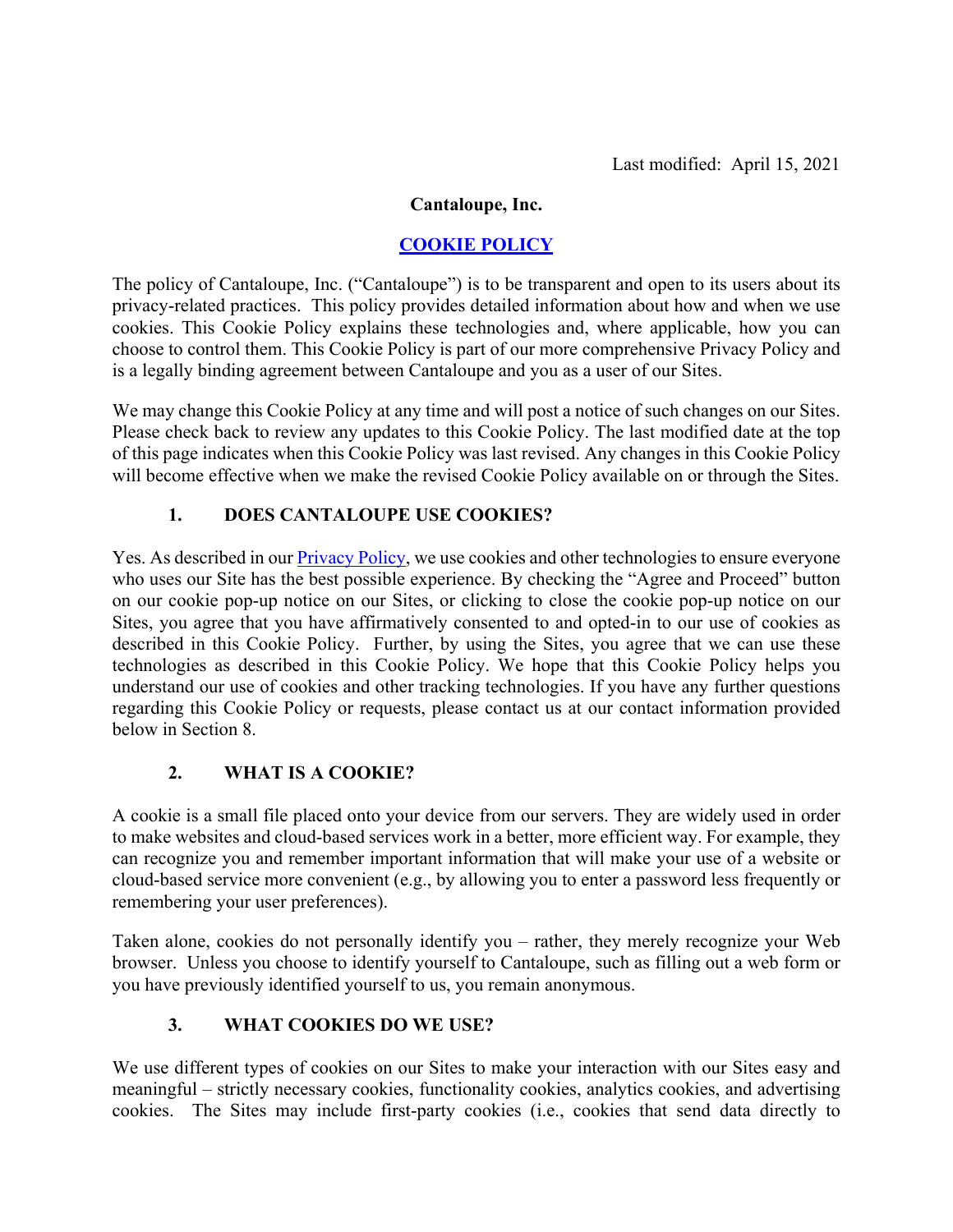#### **Cantaloupe, Inc.**

## **COOKIE POLICY**

The policy of Cantaloupe, Inc. ("Cantaloupe") is to be transparent and open to its users about its privacy-related practices. This policy provides detailed information about how and when we use cookies. This Cookie Policy explains these technologies and, where applicable, how you can choose to control them. This Cookie Policy is part of our more comprehensive Privacy Policy and is a legally binding agreement between Cantaloupe and you as a user of our Sites.

We may change this Cookie Policy at any time and will post a notice of such changes on our Sites. Please check back to review any updates to this Cookie Policy. The last modified date at the top of this page indicates when this Cookie Policy was last revised. Any changes in this Cookie Policy will become effective when we make the revised Cookie Policy available on or through the Sites.

#### **1. DOES CANTALOUPE USE COOKIES?**

Yes. As described in our **Privacy Policy**, we use cookies and other technologies to ensure everyone who uses our Site has the best possible experience. By checking the "Agree and Proceed" button on our cookie pop-up notice on our Sites, or clicking to close the cookie pop-up notice on our Sites, you agree that you have affirmatively consented to and opted-in to our use of cookies as described in this Cookie Policy. Further, by using the Sites, you agree that we can use these technologies as described in this Cookie Policy. We hope that this Cookie Policy helps you understand our use of cookies and other tracking technologies. If you have any further questions regarding this Cookie Policy or requests, please contact us at our contact information provided below in Section 8.

#### **2. WHAT IS A COOKIE?**

A cookie is a small file placed onto your device from our servers. They are widely used in order to make websites and cloud-based services work in a better, more efficient way. For example, they can recognize you and remember important information that will make your use of a website or cloud-based service more convenient (e.g., by allowing you to enter a password less frequently or remembering your user preferences).

Taken alone, cookies do not personally identify you – rather, they merely recognize your Web browser. Unless you choose to identify yourself to Cantaloupe, such as filling out a web form or you have previously identified yourself to us, you remain anonymous.

#### **3. WHAT COOKIES DO WE USE?**

We use different types of cookies on our Sites to make your interaction with our Sites easy and meaningful – strictly necessary cookies, functionality cookies, analytics cookies, and advertising cookies. The Sites may include first-party cookies (i.e., cookies that send data directly to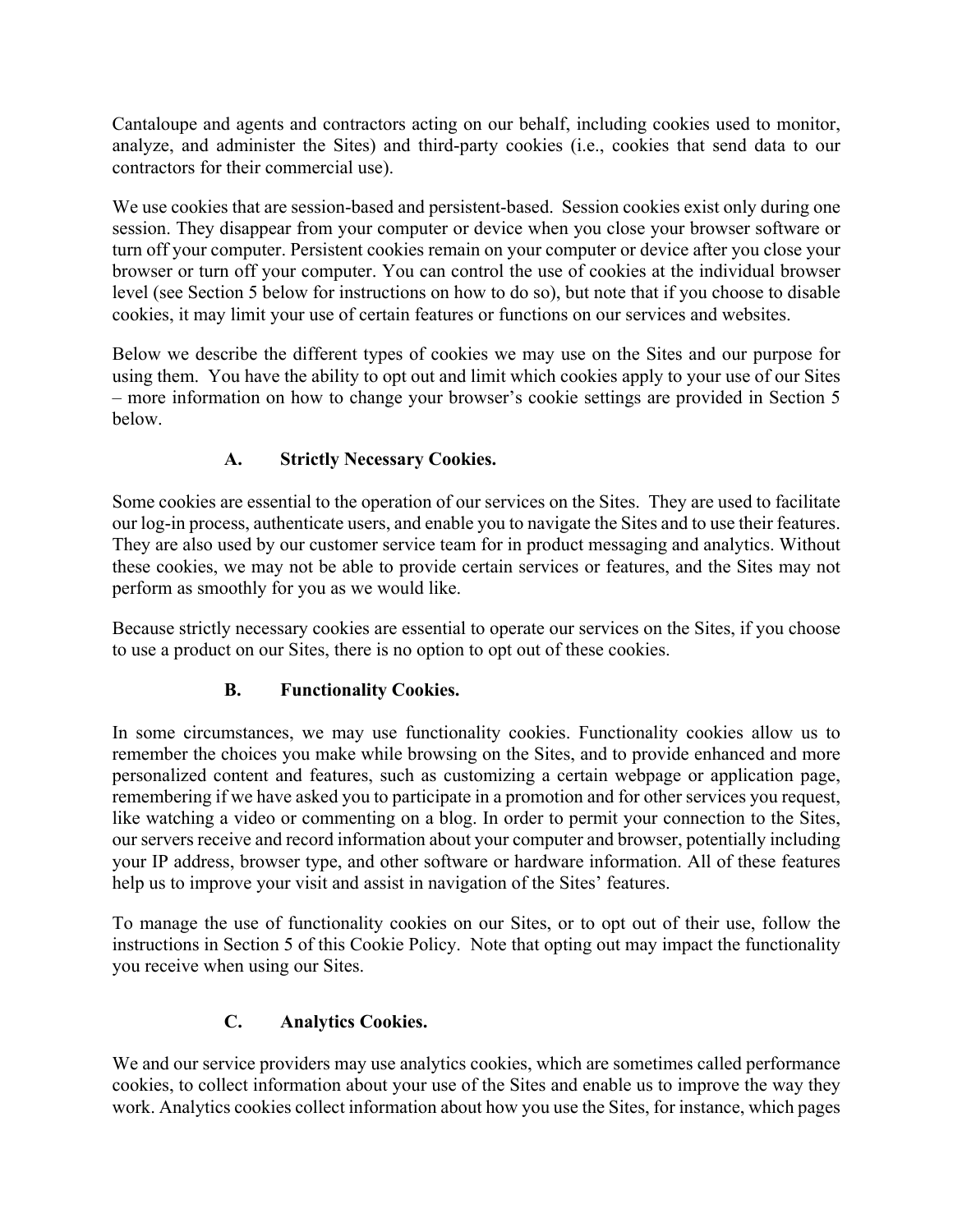Cantaloupe and agents and contractors acting on our behalf, including cookies used to monitor, analyze, and administer the Sites) and third-party cookies (i.e., cookies that send data to our contractors for their commercial use).

We use cookies that are session-based and persistent-based. Session cookies exist only during one session. They disappear from your computer or device when you close your browser software or turn off your computer. Persistent cookies remain on your computer or device after you close your browser or turn off your computer. You can control the use of cookies at the individual browser level (see Section 5 below for instructions on how to do so), but note that if you choose to disable cookies, it may limit your use of certain features or functions on our services and websites.

Below we describe the different types of cookies we may use on the Sites and our purpose for using them. You have the ability to opt out and limit which cookies apply to your use of our Sites – more information on how to change your browser's cookie settings are provided in Section 5 below.

# **A. Strictly Necessary Cookies.**

Some cookies are essential to the operation of our services on the Sites. They are used to facilitate our log-in process, authenticate users, and enable you to navigate the Sites and to use their features. They are also used by our customer service team for in product messaging and analytics. Without these cookies, we may not be able to provide certain services or features, and the Sites may not perform as smoothly for you as we would like.

Because strictly necessary cookies are essential to operate our services on the Sites, if you choose to use a product on our Sites, there is no option to opt out of these cookies.

# **B. Functionality Cookies.**

In some circumstances, we may use functionality cookies. Functionality cookies allow us to remember the choices you make while browsing on the Sites, and to provide enhanced and more personalized content and features, such as customizing a certain webpage or application page, remembering if we have asked you to participate in a promotion and for other services you request, like watching a video or commenting on a blog. In order to permit your connection to the Sites, our servers receive and record information about your computer and browser, potentially including your IP address, browser type, and other software or hardware information. All of these features help us to improve your visit and assist in navigation of the Sites' features.

To manage the use of functionality cookies on our Sites, or to opt out of their use, follow the instructions in Section 5 of this Cookie Policy. Note that opting out may impact the functionality you receive when using our Sites.

# **C. Analytics Cookies.**

We and our service providers may use analytics cookies, which are sometimes called performance cookies, to collect information about your use of the Sites and enable us to improve the way they work. Analytics cookies collect information about how you use the Sites, for instance, which pages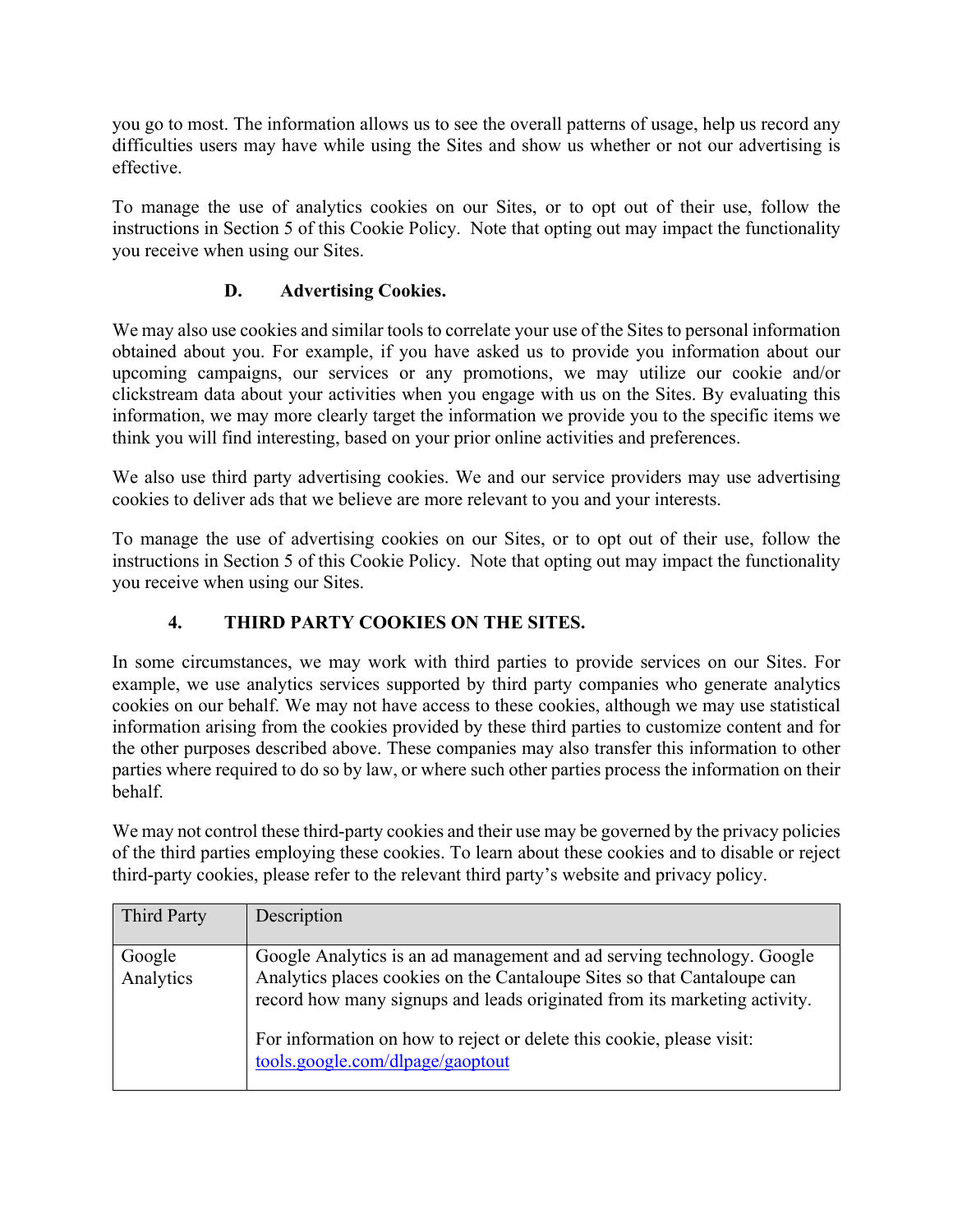you go to most. The information allows us to see the overall patterns of usage, help us record any difficulties users may have while using the Sites and show us whether or not our advertising is effective.

To manage the use of analytics cookies on our Sites, or to opt out of their use, follow the instructions in Section 5 of this Cookie Policy. Note that opting out may impact the functionality you receive when using our Sites.

## **D. Advertising Cookies.**

We may also use cookies and similar tools to correlate your use of the Sites to personal information obtained about you. For example, if you have asked us to provide you information about our upcoming campaigns, our services or any promotions, we may utilize our cookie and/or clickstream data about your activities when you engage with us on the Sites. By evaluating this information, we may more clearly target the information we provide you to the specific items we think you will find interesting, based on your prior online activities and preferences.

We also use third party advertising cookies. We and our service providers may use advertising cookies to deliver ads that we believe are more relevant to you and your interests.

To manage the use of advertising cookies on our Sites, or to opt out of their use, follow the instructions in Section 5 of this Cookie Policy. Note that opting out may impact the functionality you receive when using our Sites.

#### **4. THIRD PARTY COOKIES ON THE SITES.**

In some circumstances, we may work with third parties to provide services on our Sites. For example, we use analytics services supported by third party companies who generate analytics cookies on our behalf. We may not have access to these cookies, although we may use statistical information arising from the cookies provided by these third parties to customize content and for the other purposes described above. These companies may also transfer this information to other parties where required to do so by law, or where such other parties process the information on their behalf.

We may not control these third-party cookies and their use may be governed by the privacy policies of the third parties employing these cookies. To learn about these cookies and to disable or reject third-party cookies, please refer to the relevant third party's website and privacy policy.

| <b>Third Party</b>  | Description                                                                                                                                                                                                                                                                                                                                 |
|---------------------|---------------------------------------------------------------------------------------------------------------------------------------------------------------------------------------------------------------------------------------------------------------------------------------------------------------------------------------------|
| Google<br>Analytics | Google Analytics is an ad management and ad serving technology. Google<br>Analytics places cookies on the Cantaloupe Sites so that Cantaloupe can<br>record how many signups and leads originated from its marketing activity.<br>For information on how to reject or delete this cookie, please visit:<br>tools.google.com/dlpage/gaoptout |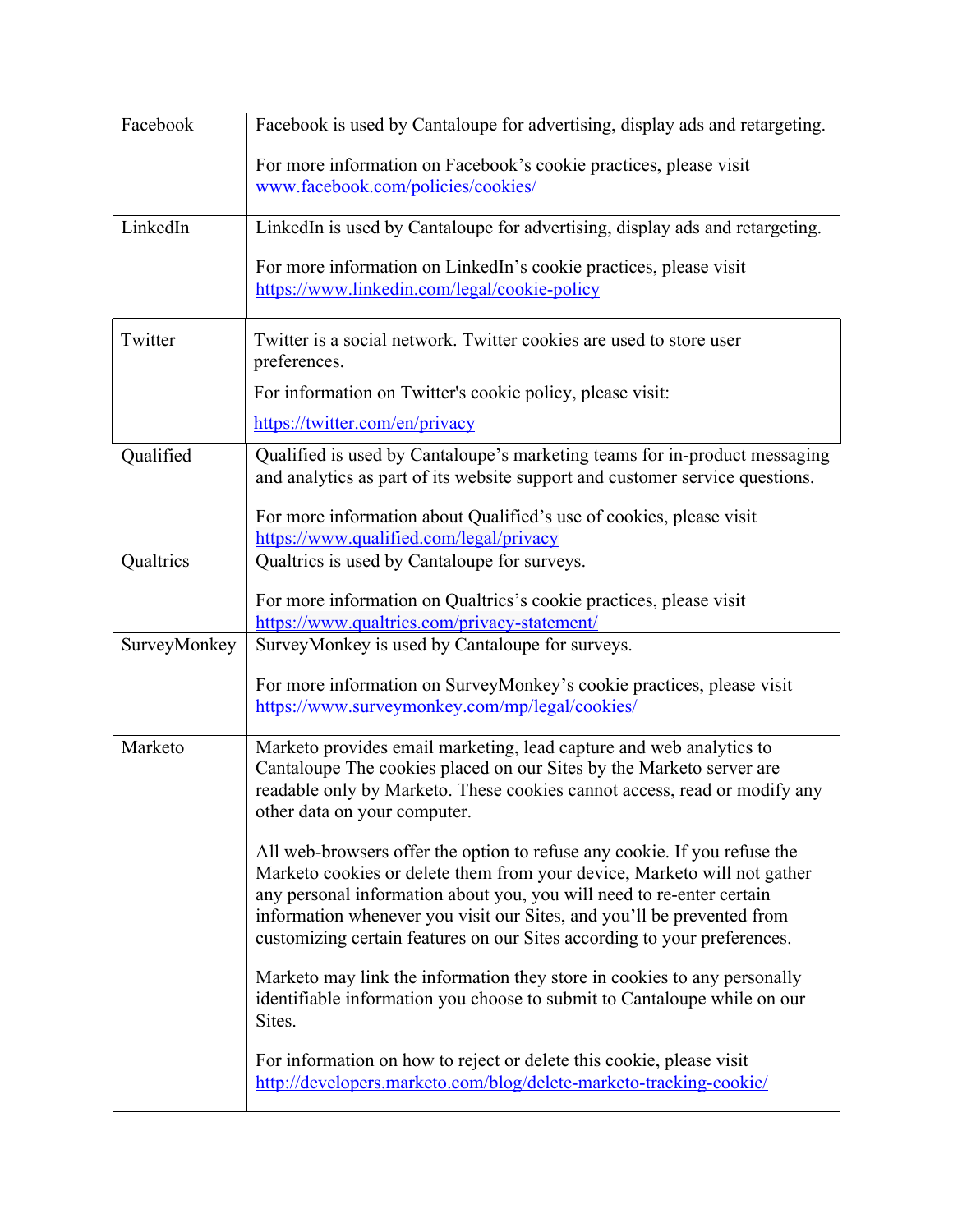| Facebook     | Facebook is used by Cantaloupe for advertising, display ads and retargeting.                                                                                                                                                                                                                                                                                                         |
|--------------|--------------------------------------------------------------------------------------------------------------------------------------------------------------------------------------------------------------------------------------------------------------------------------------------------------------------------------------------------------------------------------------|
|              | For more information on Facebook's cookie practices, please visit<br>www.facebook.com/policies/cookies/                                                                                                                                                                                                                                                                              |
| LinkedIn     | LinkedIn is used by Cantaloupe for advertising, display ads and retargeting.                                                                                                                                                                                                                                                                                                         |
|              | For more information on LinkedIn's cookie practices, please visit<br>https://www.linkedin.com/legal/cookie-policy                                                                                                                                                                                                                                                                    |
| Twitter      | Twitter is a social network. Twitter cookies are used to store user<br>preferences.                                                                                                                                                                                                                                                                                                  |
|              | For information on Twitter's cookie policy, please visit:                                                                                                                                                                                                                                                                                                                            |
|              | https://twitter.com/en/privacy                                                                                                                                                                                                                                                                                                                                                       |
| Qualified    | Qualified is used by Cantaloupe's marketing teams for in-product messaging<br>and analytics as part of its website support and customer service questions.                                                                                                                                                                                                                           |
|              | For more information about Qualified's use of cookies, please visit<br>https://www.qualified.com/legal/privacy                                                                                                                                                                                                                                                                       |
| Qualtrics    | Qualtrics is used by Cantaloupe for surveys.                                                                                                                                                                                                                                                                                                                                         |
|              | For more information on Qualtrics's cookie practices, please visit<br>https://www.qualtrics.com/privacy-statement/                                                                                                                                                                                                                                                                   |
| SurveyMonkey | SurveyMonkey is used by Cantaloupe for surveys.                                                                                                                                                                                                                                                                                                                                      |
|              | For more information on SurveyMonkey's cookie practices, please visit<br>https://www.surveymonkey.com/mp/legal/cookies/                                                                                                                                                                                                                                                              |
| Marketo      | Marketo provides email marketing, lead capture and web analytics to<br>Cantaloupe The cookies placed on our Sites by the Marketo server are<br>readable only by Marketo. These cookies cannot access, read or modify any<br>other data on your computer.                                                                                                                             |
|              | All web-browsers offer the option to refuse any cookie. If you refuse the<br>Marketo cookies or delete them from your device, Marketo will not gather<br>any personal information about you, you will need to re-enter certain<br>information whenever you visit our Sites, and you'll be prevented from<br>customizing certain features on our Sites according to your preferences. |
|              | Marketo may link the information they store in cookies to any personally<br>identifiable information you choose to submit to Cantaloupe while on our<br>Sites.                                                                                                                                                                                                                       |
|              | For information on how to reject or delete this cookie, please visit<br>http://developers.marketo.com/blog/delete-marketo-tracking-cookie/                                                                                                                                                                                                                                           |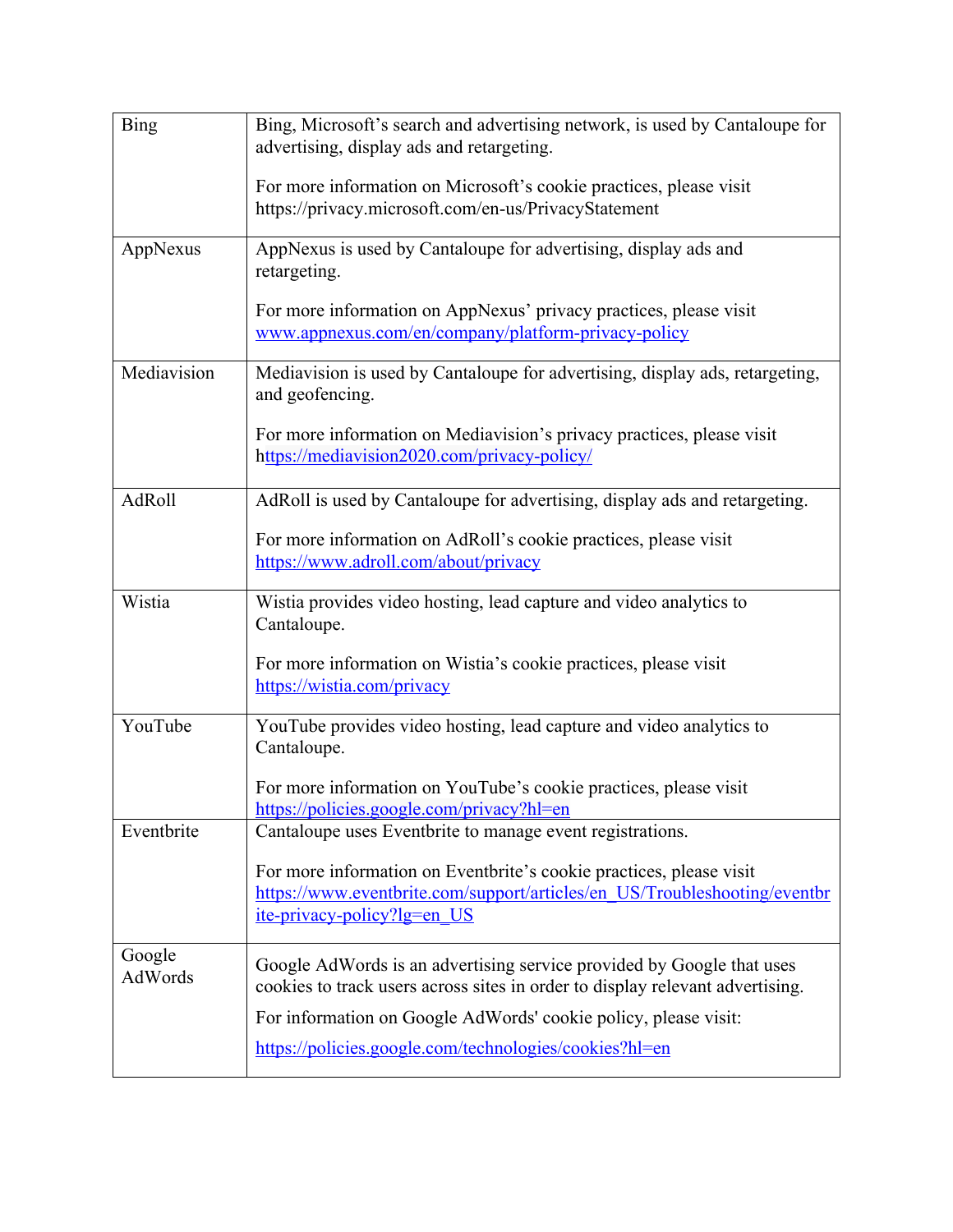| <b>Bing</b>       | Bing, Microsoft's search and advertising network, is used by Cantaloupe for<br>advertising, display ads and retargeting.                                                        |
|-------------------|---------------------------------------------------------------------------------------------------------------------------------------------------------------------------------|
|                   | For more information on Microsoft's cookie practices, please visit<br>https://privacy.microsoft.com/en-us/PrivacyStatement                                                      |
| AppNexus          | AppNexus is used by Cantaloupe for advertising, display ads and<br>retargeting.                                                                                                 |
|                   | For more information on AppNexus' privacy practices, please visit<br>www.appnexus.com/en/company/platform-privacy-policy                                                        |
| Mediavision       | Mediavision is used by Cantaloupe for advertising, display ads, retargeting,<br>and geofencing.                                                                                 |
|                   | For more information on Mediavision's privacy practices, please visit<br>https://mediavision2020.com/privacy-policy/                                                            |
| <b>AdRoll</b>     | AdRoll is used by Cantaloupe for advertising, display ads and retargeting.                                                                                                      |
|                   | For more information on AdRoll's cookie practices, please visit<br>https://www.adroll.com/about/privacy                                                                         |
| Wistia            | Wistia provides video hosting, lead capture and video analytics to<br>Cantaloupe.                                                                                               |
|                   | For more information on Wistia's cookie practices, please visit<br>https://wistia.com/privacy                                                                                   |
| YouTube           | YouTube provides video hosting, lead capture and video analytics to<br>Cantaloupe.                                                                                              |
|                   | For more information on YouTube's cookie practices, please visit<br>https://policies.google.com/privacy?hl=en                                                                   |
| Eventbrite        | Cantaloupe uses Eventbrite to manage event registrations.                                                                                                                       |
|                   | For more information on Eventbrite's cookie practices, please visit<br>https://www.eventbrite.com/support/articles/en US/Troubleshooting/eventbr<br>ite-privacy-policy?lg=en US |
| Google<br>AdWords | Google AdWords is an advertising service provided by Google that uses<br>cookies to track users across sites in order to display relevant advertising.                          |
|                   | For information on Google AdWords' cookie policy, please visit:                                                                                                                 |
|                   | https://policies.google.com/technologies/cookies?hl=en                                                                                                                          |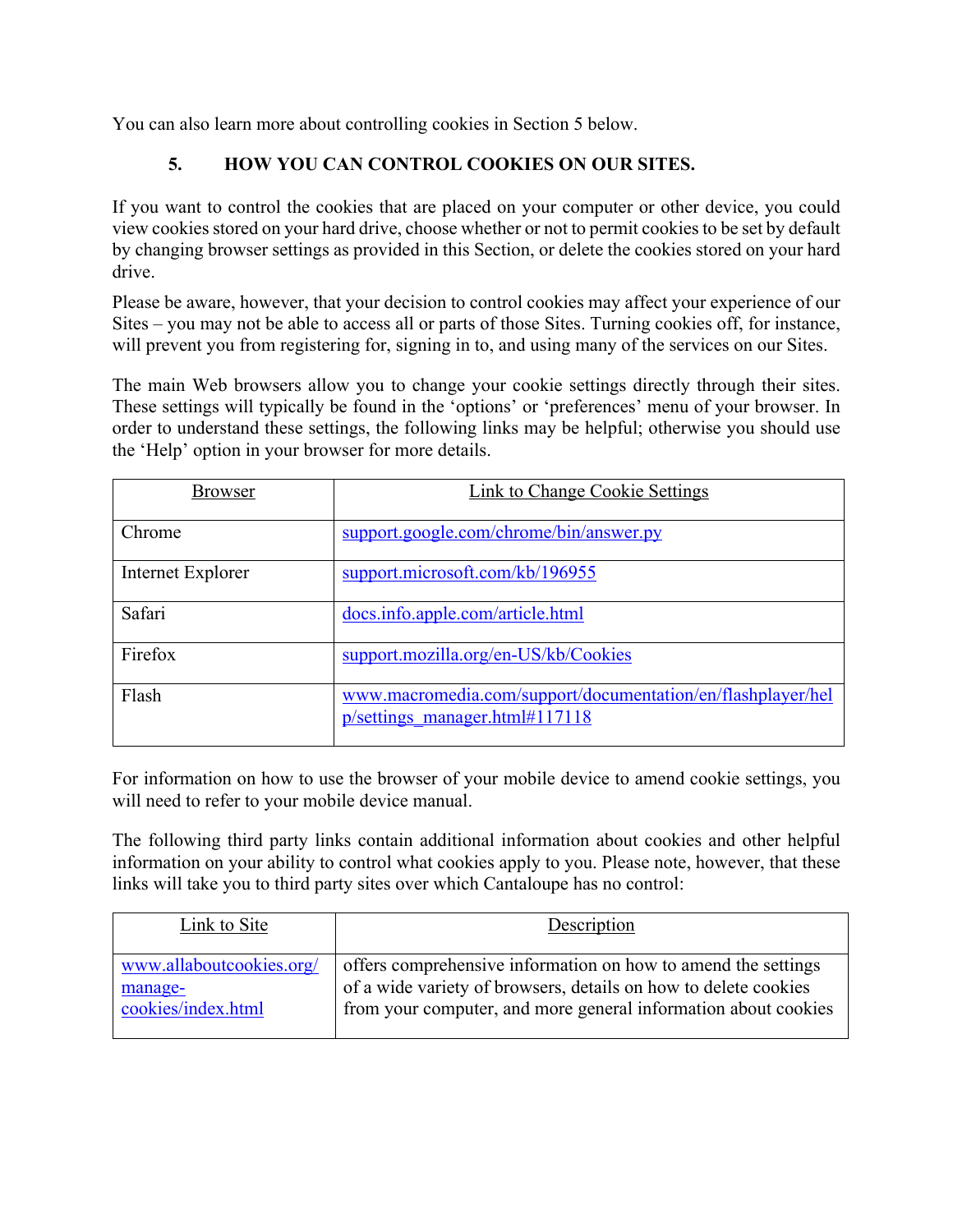You can also learn more about controlling cookies in Section 5 below.

## **5. HOW YOU CAN CONTROL COOKIES ON OUR SITES.**

If you want to control the cookies that are placed on your computer or other device, you could view cookies stored on your hard drive, choose whether or not to permit cookies to be set by default by changing browser settings as provided in this Section, or delete the cookies stored on your hard drive.

Please be aware, however, that your decision to control cookies may affect your experience of our Sites – you may not be able to access all or parts of those Sites. Turning cookies off, for instance, will prevent you from registering for, signing in to, and using many of the services on our Sites.

The main Web browsers allow you to change your cookie settings directly through their sites. These settings will typically be found in the 'options' or 'preferences' menu of your browser. In order to understand these settings, the following links may be helpful; otherwise you should use the 'Help' option in your browser for more details.

| <b>Browser</b>    | Link to Change Cookie Settings                                                                |
|-------------------|-----------------------------------------------------------------------------------------------|
| Chrome            | support.google.com/chrome/bin/answer.py                                                       |
| Internet Explorer | support.microsoft.com/kb/196955                                                               |
| Safari            | docs.info.apple.com/article.html                                                              |
| Firefox           | support.mozilla.org/en-US/kb/Cookies                                                          |
| Flash             | www.macromedia.com/support/documentation/en/flashplayer/hel<br>p/settings manager.html#117118 |

For information on how to use the browser of your mobile device to amend cookie settings, you will need to refer to your mobile device manual.

The following third party links contain additional information about cookies and other helpful information on your ability to control what cookies apply to you. Please note, however, that these links will take you to third party sites over which Cantaloupe has no control:

| Link to Site             | Description                                                     |
|--------------------------|-----------------------------------------------------------------|
| www.allaboutcookies.org/ | offers comprehensive information on how to amend the settings   |
| manage-                  | of a wide variety of browsers, details on how to delete cookies |
| cookies/index.html       | from your computer, and more general information about cookies  |